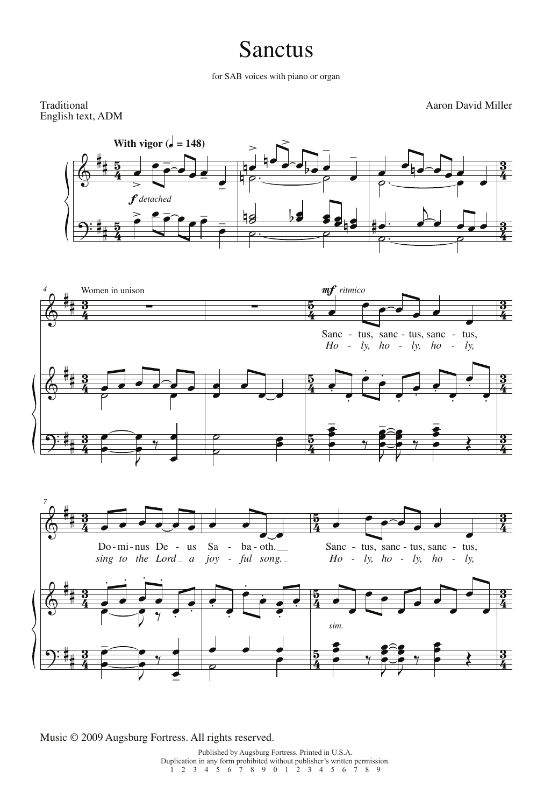## Sanctus

for SAB voices with piano or organ

Traditional English text, ADM Aaron David Miller





Music © 2009 Augsburg Fortress. All rights reserved.

Published by Augsburg Fortress. Printed in U.S.A. Duplication in any form prohibited without publisher's written permission.  $12345678901234567890129$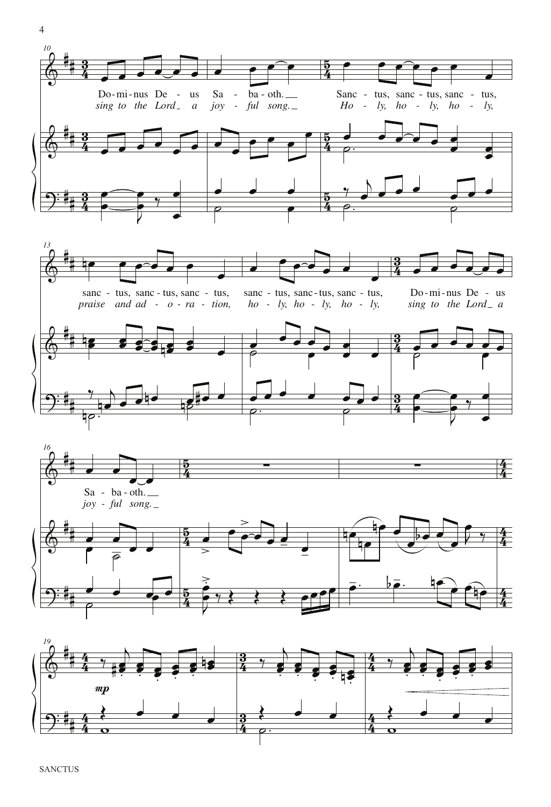



4